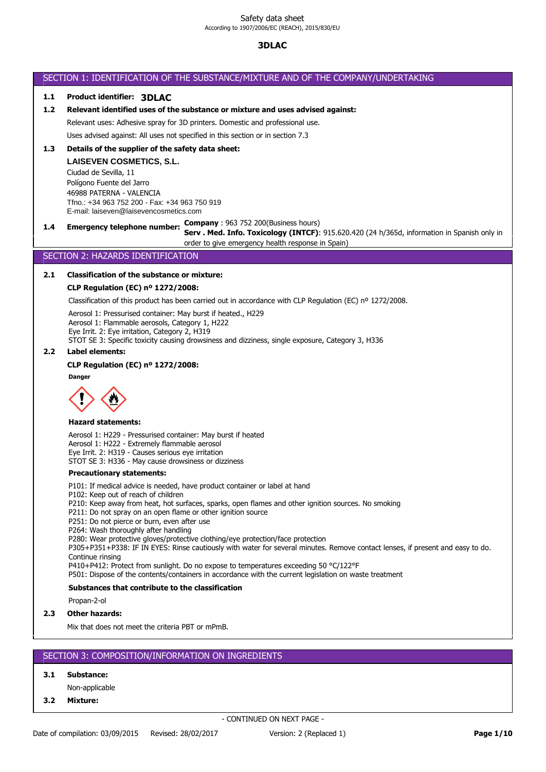# SECTION 1: IDENTIFICATION OF THE SUBSTANCE/MIXTURE AND OF THE COMPANY/UNDERTAKING

# **1.1 Product identifier: 3DLAC**

# **1.2 Relevant identified uses of the substance or mixture and uses advised against:**

Relevant uses: Adhesive spray for 3D printers. Domestic and professional use.

Uses advised against: All uses not specified in this section or in section 7.3

# **1.3 Details of the supplier of the safety data sheet:**

**LAISEVEN COSMETICS, S.L.** Ciudad de Sevilla, 11 Polígono Fuente del Jarro 46988 PATERNA - VALENCIA Tfno.: +34 963 752 200 - Fax: +34 963 750 919 E-mail: laiseven@laisevencosmetics.com

**1.4 Emergency telephone number: Company** : 963 752 200(Business hours)

**Serv . Med. Info. Toxicology (INTCF)**: 915.620.420 (24 h/365d, information in Spanish only in order to give emergency health response in Spain)

#### SECTION 2: HAZARDS IDENTIFICATION **Serv. Méd. Info. Toxicológica (INTCF)**: 915.620.420 (24h/365d, información en español solo

#### 2.1 Classification of the substance or mixture: con la finalidad de dar respuesta santidad de dar respuesta santidad de dar respuesta santidad de dar respuesta s<br>De dar respuesta santidad de dar respuesta santidad de dar respuesta santidad de la concelho de la concelho

## **CLP Regulation (EC) nº 1272/2008:**

Classification of this product has been carried out in accordance with CLP Regulation (EC) nº 1272/2008.

Aerosol 1: Pressurised container: May burst if heated., H229 Aerosol 1: Flammable aerosols, Category 1, H222 Eye Irrit. 2: Eye irritation, Category 2, H319 STOT SE 3: Specific toxicity causing drowsiness and dizziness, single exposure, Category 3, H336

#### **2.2 Label elements:**

### **CLP Regulation (EC) nº 1272/2008:**

**Danger**



#### **Hazard statements:**

Aerosol 1: H229 - Pressurised container: May burst if heated Aerosol 1: H222 - Extremely flammable aerosol Eye Irrit. 2: H319 - Causes serious eye irritation STOT SE 3: H336 - May cause drowsiness or dizziness

## **Precautionary statements:**

P101: If medical advice is needed, have product container or label at hand

P102: Keep out of reach of children

P210: Keep away from heat, hot surfaces, sparks, open flames and other ignition sources. No smoking

P211: Do not spray on an open flame or other ignition source

P251: Do not pierce or burn, even after use

P264: Wash thoroughly after handling

P280: Wear protective gloves/protective clothing/eye protection/face protection

P305+P351+P338: IF IN EYES: Rinse cautiously with water for several minutes. Remove contact lenses, if present and easy to do. Continue rinsing

P410+P412: Protect from sunlight. Do no expose to temperatures exceeding 50 °C/122°F

P501: Dispose of the contents/containers in accordance with the current legislation on waste treatment

# **Substances that contribute to the classification**

Propan-2-ol

#### **2.3 Other hazards:**

Mix that does not meet the criteria PBT or mPmB.

## SECTION 3: COMPOSITION/INFORMATION ON INGREDIENTS

# **3.1 Substance:**

Non-applicable

**3.2 Mixture:**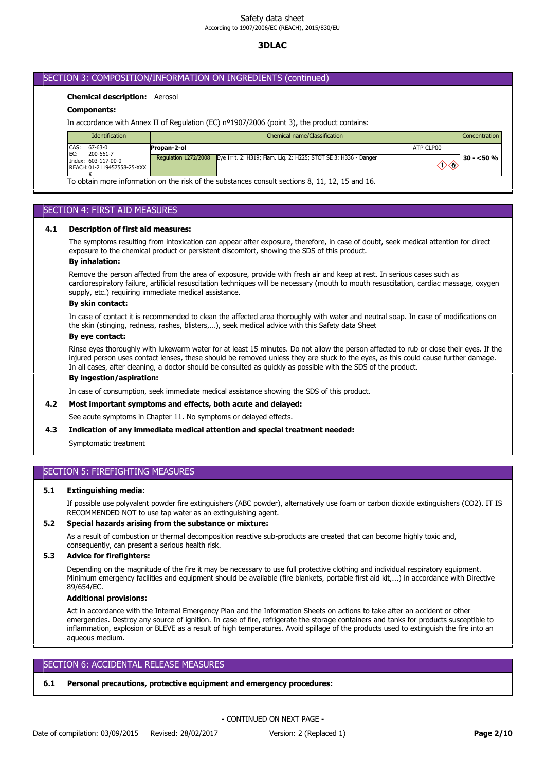# **3DLAC**

## SECTION 3: COMPOSITION/INFORMATION ON INGREDIENTS (continued)

## **Chemical description:** Aerosol

## **Components:**

In accordance with Annex II of Regulation (EC) nº1907/2006 (point 3), the product contains:

| <b>Identification</b>                                     | Chemical name/Classification                                                             |           | Concentration |
|-----------------------------------------------------------|------------------------------------------------------------------------------------------|-----------|---------------|
| CAS:<br>67-63-0<br>200-661-7                              | Propan-2-ol                                                                              | ATP CLP00 |               |
| EC:<br>Index: 603-117-00-0<br>REACH: 01-2119457558-25-XXX | Regulation 1272/2008<br>Eye Irrit. 2: H319; Flam. Lig. 2: H225; STOT SE 3: H336 - Danger | ◇◇        | $30 - 50%$    |

To obtain more information on the risk of the substances consult sections 8, 11, 12, 15 and 16.

## SECTION 4: FIRST AID MEASURES

### **4.1 Description of first aid measures:**

The symptoms resulting from intoxication can appear after exposure, therefore, in case of doubt, seek medical attention for direct exposure to the chemical product or persistent discomfort, showing the SDS of this product.

#### **By inhalation:**

Remove the person affected from the area of exposure, provide with fresh air and keep at rest. In serious cases such as cardiorespiratory failure, artificial resuscitation techniques will be necessary (mouth to mouth resuscitation, cardiac massage, oxygen supply, etc.) requiring immediate medical assistance.

#### **By skin contact:**

In case of contact it is recommended to clean the affected area thoroughly with water and neutral soap. In case of modifications on the skin (stinging, redness, rashes, blisters,…), seek medical advice with this Safety data Sheet

### **By eye contact:**

Rinse eyes thoroughly with lukewarm water for at least 15 minutes. Do not allow the person affected to rub or close their eyes. If the injured person uses contact lenses, these should be removed unless they are stuck to the eyes, as this could cause further damage. In all cases, after cleaning, a doctor should be consulted as quickly as possible with the SDS of the product.

#### **By ingestion/aspiration:**

In case of consumption, seek immediate medical assistance showing the SDS of this product.

#### **4.2 Most important symptoms and effects, both acute and delayed:**

See acute symptoms in Chapter 11. No symptoms or delayed effects.

### **4.3 Indication of any immediate medical attention and special treatment needed:**

Symptomatic treatment

# SECTION 5: FIREFIGHTING MEASURES

#### **5.1 Extinguishing media:**

If possible use polyvalent powder fire extinguishers (ABC powder), alternatively use foam or carbon dioxide extinguishers (CO2). IT IS RECOMMENDED NOT to use tap water as an extinguishing agent.

#### **5.2 Special hazards arising from the substance or mixture:**

As a result of combustion or thermal decomposition reactive sub-products are created that can become highly toxic and, consequently, can present a serious health risk.

## **5.3 Advice for firefighters:**

Depending on the magnitude of the fire it may be necessary to use full protective clothing and individual respiratory equipment. Minimum emergency facilities and equipment should be available (fire blankets, portable first aid kit,...) in accordance with Directive 89/654/EC.

## **Additional provisions:**

Act in accordance with the Internal Emergency Plan and the Information Sheets on actions to take after an accident or other emergencies. Destroy any source of ignition. In case of fire, refrigerate the storage containers and tanks for products susceptible to inflammation, explosion or BLEVE as a result of high temperatures. Avoid spillage of the products used to extinguish the fire into an aqueous medium.

## SECTION 6: ACCIDENTAL RELEASE MEASURES

#### **6.1 Personal precautions, protective equipment and emergency procedures:**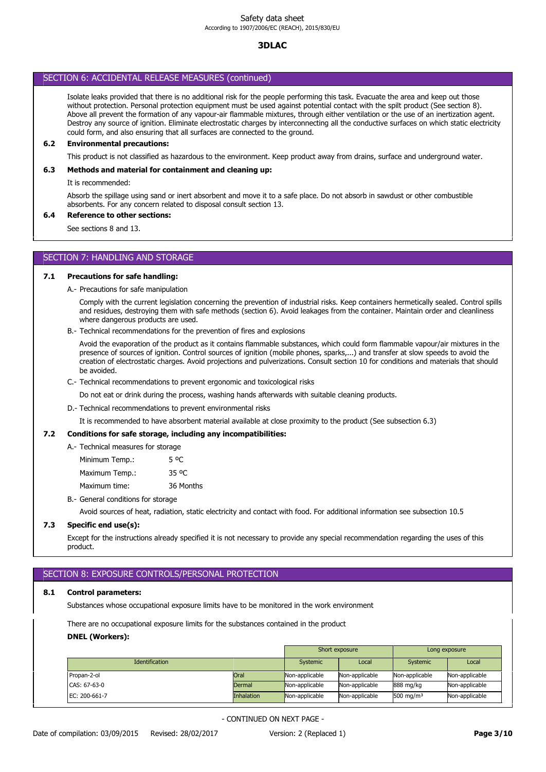# SECTION 6: ACCIDENTAL RELEASE MEASURES (continued)

Isolate leaks provided that there is no additional risk for the people performing this task. Evacuate the area and keep out those without protection. Personal protection equipment must be used against potential contact with the spilt product (See section 8). Above all prevent the formation of any vapour-air flammable mixtures, through either ventilation or the use of an inertization agent. Destroy any source of ignition. Eliminate electrostatic charges by interconnecting all the conductive surfaces on which static electricity could form, and also ensuring that all surfaces are connected to the ground.

### **6.2 Environmental precautions:**

This product is not classified as hazardous to the environment. Keep product away from drains, surface and underground water.

## **6.3 Methods and material for containment and cleaning up:**

It is recommended:

Absorb the spillage using sand or inert absorbent and move it to a safe place. Do not absorb in sawdust or other combustible absorbents. For any concern related to disposal consult section 13.

# **6.4 Reference to other sections:**

See sections 8 and 13.

# SECTION 7: HANDLING AND STORAGE

## **7.1 Precautions for safe handling:**

A.- Precautions for safe manipulation

Comply with the current legislation concerning the prevention of industrial risks. Keep containers hermetically sealed. Control spills and residues, destroying them with safe methods (section 6). Avoid leakages from the container. Maintain order and cleanliness where dangerous products are used.

B.- Technical recommendations for the prevention of fires and explosions

Avoid the evaporation of the product as it contains flammable substances, which could form flammable vapour/air mixtures in the presence of sources of ignition. Control sources of ignition (mobile phones, sparks,...) and transfer at slow speeds to avoid the creation of electrostatic charges. Avoid projections and pulverizations. Consult section 10 for conditions and materials that should be avoided.

C.- Technical recommendations to prevent ergonomic and toxicological risks

Do not eat or drink during the process, washing hands afterwards with suitable cleaning products.

D.- Technical recommendations to prevent environmental risks

It is recommended to have absorbent material available at close proximity to the product (See subsection 6.3)

#### **7.2 Conditions for safe storage, including any incompatibilities:**

|  | A.- Technical measures for storage |           |
|--|------------------------------------|-----------|
|  | Minimum Temp.:                     | 5 OC      |
|  | Maximum Temp.:                     | 35 °C     |
|  | Maximum time:                      | 36 Months |

B.- General conditions for storage

Avoid sources of heat, radiation, static electricity and contact with food. For additional information see subsection 10.5

## **7.3 Specific end use(s):**

Except for the instructions already specified it is not necessary to provide any special recommendation regarding the uses of this product.

# SECTION 8: EXPOSURE CONTROLS/PERSONAL PROTECTION

#### **8.1 Control parameters:**

Substances whose occupational exposure limits have to be monitored in the work environment

There are no occupational exposure limits for the substances contained in the product

## **DNEL (Workers):**

|                       |                   | Short exposure |                | Long exposure  |                |
|-----------------------|-------------------|----------------|----------------|----------------|----------------|
| <b>Identification</b> |                   | Systemic       | Local          | Systemic       | Local          |
| Propan-2-ol           | Oral              | Non-applicable | Non-applicable | Non-applicable | Non-applicable |
| CAS: 67-63-0          | <b>Dermal</b>     | Non-applicable | Non-applicable | 888 mg/kg      | Non-applicable |
| EC: 200-661-7         | <b>Inhalation</b> | Non-applicable | Non-applicable | 500 mg/m $3$   | Non-applicable |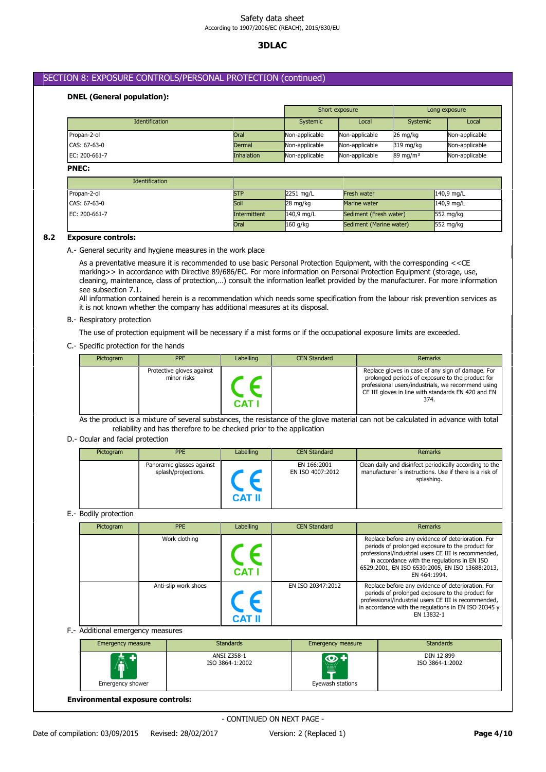# **3DLAC**

# SECTION 8: EXPOSURE CONTROLS/PERSONAL PROTECTION (continued)

# **DNEL (General population):**

|                       |                   | Short exposure  |                |                     | Long exposure  |
|-----------------------|-------------------|-----------------|----------------|---------------------|----------------|
| <b>Identification</b> |                   | <b>Systemic</b> | Local          | Systemic            | Local          |
| Propan-2-ol           | Oral              | Non-applicable  | Non-applicable | 26 mg/kg            | Non-applicable |
| CAS: 67-63-0          | <b>Dermal</b>     | Non-applicable  | Non-applicable | 319 mg/kg           | Non-applicable |
| EC: 200-661-7         | <b>Inhalation</b> | Non-applicable  | Non-applicable | $89 \text{ mg/m}^3$ | Non-applicable |

# **PNEC:**

| <b>Identification</b> |              |                    |                         |                     |
|-----------------------|--------------|--------------------|-------------------------|---------------------|
| Propan-2-ol           | <b>STP</b>   | 2251 mg/L          | <b>Fresh water</b>      | $140.9$ mg/L        |
| CAS: 67-63-0          | Soil         | $28 \text{ mg/kg}$ | Marine water            | $140.9$ mg/L        |
| EC: 200-661-7         | Intermittent | 140,9 mg/L         | Sediment (Fresh water)  | $552 \text{ mg/kg}$ |
|                       | Oral         | $160$ g/kg         | Sediment (Marine water) | $552 \text{ mg/kg}$ |

## **8.2 Exposure controls:**

A.- General security and hygiene measures in the work place

As a preventative measure it is recommended to use basic Personal Protection Equipment, with the corresponding <<CE marking>> in accordance with Directive 89/686/EC. For more information on Personal Protection Equipment (storage, use, cleaning, maintenance, class of protection,…) consult the information leaflet provided by the manufacturer. For more information see subsection 7.1.

All information contained herein is a recommendation which needs some specification from the labour risk prevention services as it is not known whether the company has additional measures at its disposal.

## B.- Respiratory protection

The use of protection equipment will be necessary if a mist forms or if the occupational exposure limits are exceeded.

## C.- Specific protection for the hands

| Pictogram | <b>PPE</b>                               | Labelling | <b>CEN Standard</b> | Remarks                                                                                                                                                                                                                   |
|-----------|------------------------------------------|-----------|---------------------|---------------------------------------------------------------------------------------------------------------------------------------------------------------------------------------------------------------------------|
|           | Protective gloves against<br>minor risks | CAT I     |                     | Replace gloves in case of any sign of damage. For<br>prolonged periods of exposure to the product for<br>professional users/industrials, we recommend using<br>CE III gloves in line with standards EN 420 and EN<br>374. |

As the product is a mixture of several substances, the resistance of the glove material can not be calculated in advance with total reliability and has therefore to be checked prior to the application

### D.- Ocular and facial protection

| Pictogram | <b>PPE</b>                                       | Labelling     | <b>CEN Standard</b>             | <b>Remarks</b>                                                                                                                  |
|-----------|--------------------------------------------------|---------------|---------------------------------|---------------------------------------------------------------------------------------------------------------------------------|
|           | Panoramic glasses against<br>splash/projections. | <b>CAT II</b> | EN 166:2001<br>EN ISO 4007:2012 | Clean daily and disinfect periodically according to the<br>manufacturer's instructions. Use if there is a risk of<br>splashing. |

# E.- Bodily protection

| Pictogram | <b>PPE</b>           | Labelling     | <b>CEN Standard</b> | Remarks                                                                                                                                                                                                                                                                          |
|-----------|----------------------|---------------|---------------------|----------------------------------------------------------------------------------------------------------------------------------------------------------------------------------------------------------------------------------------------------------------------------------|
|           | Work clothing        | <b>CAT I</b>  |                     | Replace before any evidence of deterioration. For<br>periods of prolonged exposure to the product for<br>professional/industrial users CE III is recommended,<br>in accordance with the regulations in EN ISO<br>6529:2001, EN ISO 6530:2005, EN ISO 13688:2013,<br>EN 464:1994. |
|           | Anti-slip work shoes | <b>CAT II</b> | EN ISO 20347:2012   | Replace before any evidence of deterioration. For<br>periods of prolonged exposure to the product for<br>professional/industrial users CE III is recommended,<br>in accordance with the regulations in EN ISO 20345 $\sqrt{ }$<br>EN 13832-1                                     |

## F.- Additional emergency measures

| <b>Emergency measure</b>           | <b>Standards</b>               | Emergency measure                               | <b>Standards</b>              |
|------------------------------------|--------------------------------|-------------------------------------------------|-------------------------------|
| $\mathbb{A}^*$<br>Emergency shower | ANSI Z358-1<br>ISO 3864-1:2002 | $100 - 100$<br><u>illin</u><br>Eyewash stations | DIN 12 899<br>ISO 3864-1:2002 |

**Environmental exposure controls:**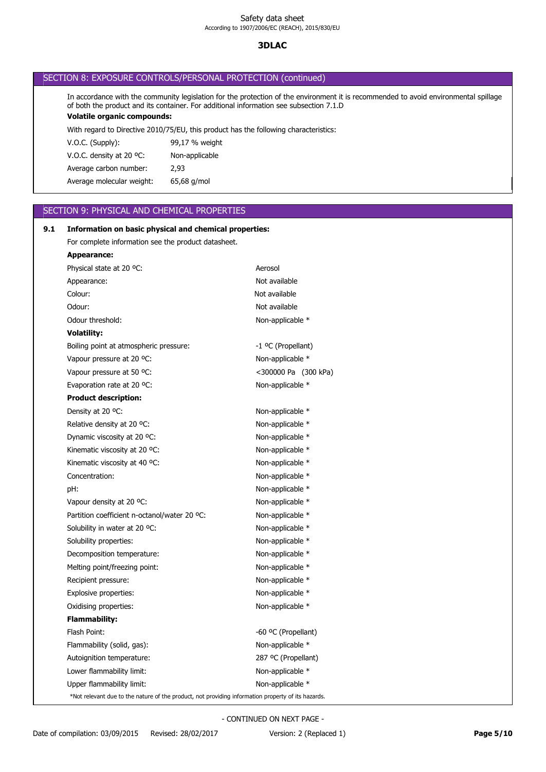# **3DLAC**

| SECTION 8: EXPOSURE CONTROLS/PERSONAL PROTECTION (continued) |  |
|--------------------------------------------------------------|--|
|--------------------------------------------------------------|--|

**Volatile organic compounds:** In accordance with the community legislation for the protection of the environment it is recommended to avoid environmental spillage of both the product and its container. For additional information see subsection 7.1.D

With regard to Directive 2010/75/EU, this product has the following characteristics:

| $V.O.C.$ (Supply):        | 99,17 % weight |
|---------------------------|----------------|
| V.O.C. density at 20 °C:  | Non-applicable |
| Average carbon number:    | 2.93           |
| Average molecular weight: | 65,68 g/mol    |

## SECTION 9: PHYSICAL AND CHEMICAL PROPERTIES

# Upper flammability limit: Non-applicable \* Lower flammability limit:  $\blacksquare$ Autoignition temperature: 287 ºC (Propellant) Flammability (solid, gas): Non-applicable \* Flash Point:  $-60 °C$  (Propellant) **Flammability:** Oxidising properties: Non-applicable \* Explosive properties: Non-applicable \* Recipient pressure: Non-applicable \* Melting point/freezing point: Non-applicable \* Decomposition temperature: Non-applicable \* Solubility properties: Non-applicable \* Solubility in water at 20 °C: Non-applicable \* Partition coefficient n-octanol/water 20 °C: Non-applicable \* Vapour density at 20 °C: Non-applicable \* pH:  $P$  Non-applicable  $*$ Concentration: Non-applicable \* Kinematic viscosity at 40 °C: Non-applicable \* Kinematic viscosity at 20 °C: Non-applicable \* Dynamic viscosity at 20 °C: Non-applicable \* Relative density at 20 °C: Non-applicable \* Density at 20 °C: Non-applicable \* **Product description:** Evaporation rate at 20 °C: Non-applicable \* Vapour pressure at 50 °C:  $\sim$  <300000 Pa (300 kPa) Vapour pressure at 20 °C: Non-applicable \* Boiling point at atmospheric pressure: -1 °C (Propellant) **Volatility:** Odour threshold: Non-applicable \* Odour: Not available Colour: Not available Appearance: Not available Physical state at 20 °C: Aerosol **Appearance:** For complete information see the product datasheet. **9.1 Information on basic physical and chemical properties:** \*Not relevant due to the nature of the product, not providing information property of its hazards.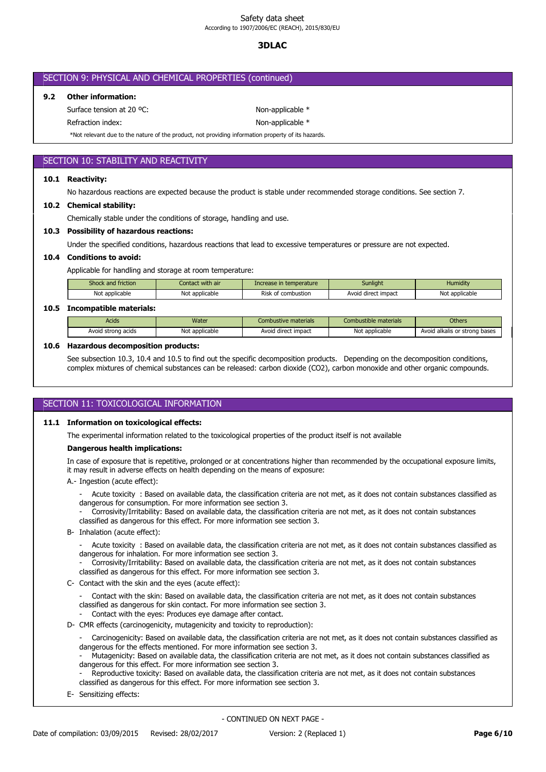# **3DLAC**

| SECTION 9: PHYSICAL AND CHEMICAL PROPERTIES (continued) |  |  |  |
|---------------------------------------------------------|--|--|--|
|---------------------------------------------------------|--|--|--|

### **9.2 Other information:**

Surface tension at 20 °C: Non-applicable \*

Refraction index: Non-applicable \*

\*Not relevant due to the nature of the product, not providing information property of its hazards.

## SECTION 10: STABILITY AND REACTIVITY

#### **10.1 Reactivity:**

No hazardous reactions are expected because the product is stable under recommended storage conditions. See section 7.

#### **10.2 Chemical stability:**

Chemically stable under the conditions of storage, handling and use.

#### **10.3 Possibility of hazardous reactions:**

Under the specified conditions, hazardous reactions that lead to excessive temperatures or pressure are not expected.

## **10.4 Conditions to avoid:**

Applicable for handling and storage at room temperature:

| Shock and friction       | Contact with air | Increase in temperature | Sunlight            | Humidity       |  |  |  |
|--------------------------|------------------|-------------------------|---------------------|----------------|--|--|--|
| Not applicable           | Not applicable   | Risk of combustion      | Avoid direct impact | Not applicable |  |  |  |
| Teacesachilda motorialar |                  |                         |                     |                |  |  |  |

## **10.5 Incompatible materials:**

| Acids              | Water          | Combustive materials | Combustible materials | <b>Others</b>                 |
|--------------------|----------------|----------------------|-----------------------|-------------------------------|
| Avoid strong acids | Not applicable | Avoid direct impact  | Not applicable        | Avoid alkalis or strong bases |

### **10.6 Hazardous decomposition products:**

See subsection 10.3, 10.4 and 10.5 to find out the specific decomposition products. Depending on the decomposition conditions, complex mixtures of chemical substances can be released: carbon dioxide (CO2), carbon monoxide and other organic compounds.

## SECTION 11: TOXICOLOGICAL INFORMATION

## **11.1 Information on toxicological effects:**

The experimental information related to the toxicological properties of the product itself is not available

## **Dangerous health implications:**

In case of exposure that is repetitive, prolonged or at concentrations higher than recommended by the occupational exposure limits, it may result in adverse effects on health depending on the means of exposure:

- A.- Ingestion (acute effect):
	- Acute toxicity : Based on available data, the classification criteria are not met, as it does not contain substances classified as dangerous for consumption. For more information see section 3.
	- Corrosivity/Irritability: Based on available data, the classification criteria are not met, as it does not contain substances classified as dangerous for this effect. For more information see section 3.
- B- Inhalation (acute effect):

- Acute toxicity : Based on available data, the classification criteria are not met, as it does not contain substances classified as dangerous for inhalation. For more information see section 3.

- Corrosivity/Irritability: Based on available data, the classification criteria are not met, as it does not contain substances classified as dangerous for this effect. For more information see section 3.

C- Contact with the skin and the eyes (acute effect):

- Contact with the skin: Based on available data, the classification criteria are not met, as it does not contain substances classified as dangerous for skin contact. For more information see section 3.

- Contact with the eyes: Produces eye damage after contact.
- D- CMR effects (carcinogenicity, mutagenicity and toxicity to reproduction):
	- Carcinogenicity: Based on available data, the classification criteria are not met, as it does not contain substances classified as dangerous for the effects mentioned. For more information see section 3.

- Mutagenicity: Based on available data, the classification criteria are not met, as it does not contain substances classified as dangerous for this effect. For more information see section 3.

- Reproductive toxicity: Based on available data, the classification criteria are not met, as it does not contain substances classified as dangerous for this effect. For more information see section 3.
- E- Sensitizing effects: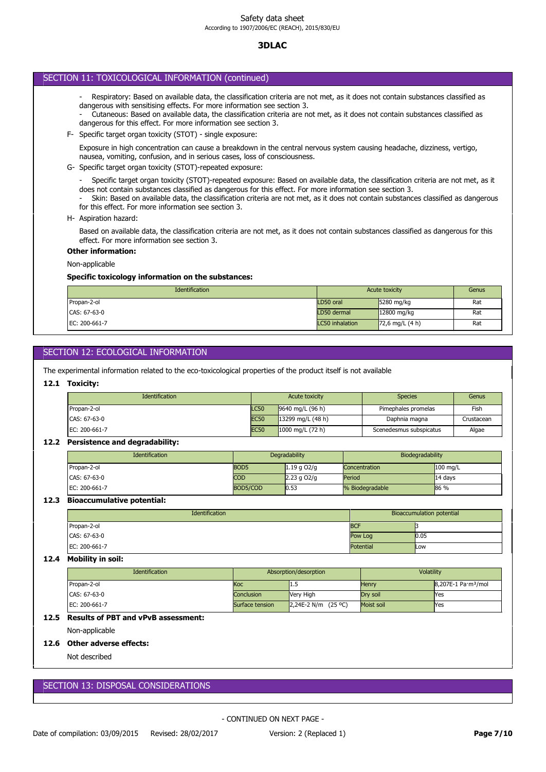# SECTION 11: TOXICOLOGICAL INFORMATION (continued)

- Respiratory: Based on available data, the classification criteria are not met, as it does not contain substances classified as dangerous with sensitising effects. For more information see section 3.

- Cutaneous: Based on available data, the classification criteria are not met, as it does not contain substances classified as dangerous for this effect. For more information see section 3.

F- Specific target organ toxicity (STOT) - single exposure:

Exposure in high concentration can cause a breakdown in the central nervous system causing headache, dizziness, vertigo, nausea, vomiting, confusion, and in serious cases, loss of consciousness.

G- Specific target organ toxicity (STOT)-repeated exposure:

- Specific target organ toxicity (STOT)-repeated exposure: Based on available data, the classification criteria are not met, as it does not contain substances classified as dangerous for this effect. For more information see section 3.

- Skin: Based on available data, the classification criteria are not met, as it does not contain substances classified as dangerous for this effect. For more information see section 3.

H- Aspiration hazard:

Based on available data, the classification criteria are not met, as it does not contain substances classified as dangerous for this effect. For more information see section 3.

### **Other information:**

Non-applicable

## **Specific toxicology information on the substances:**

| Identification | Acute toxicity         | Genus             |     |
|----------------|------------------------|-------------------|-----|
| Propan-2-ol    | LD50 oral              | 5280 mg/kg        | Rat |
| CAS: 67-63-0   | LD50 dermal            | 12800 mg/kg       | Rat |
| EC: 200-661-7  | <b>LC50</b> inhalation | $72,6$ mg/L (4 h) | Rat |

# SECTION 12: ECOLOGICAL INFORMATION

The experimental information related to the eco-toxicological properties of the product itself is not available

#### **12.1 Toxicity:**

| <b>Identification</b> | Acute toxicity |                            | <b>Species</b>          | Genus      |
|-----------------------|----------------|----------------------------|-------------------------|------------|
| Propan-2-ol           | <b>LC50</b>    | 9640 mg/L (96 h)           | Pimephales promelas     | Fish       |
| CAS: 67-63-0          | <b>EC50</b>    | 13299 mg/L $(48 h)$        | Daphnia magna           | Crustacean |
| EC: 200-661-7         | <b>EC50</b>    | $1000 \text{ mg/L}$ (72 h) | Scenedesmus subspicatus | Algae      |

## **12.2 Persistence and degradability:**

| <b>Identification</b> | Degradability    |               | Biodegradability |            |
|-----------------------|------------------|---------------|------------------|------------|
| Propan-2-ol           | BOD <sub>5</sub> | $1.19$ g O2/g | Concentration    | $100$ mg/L |
| CAS: 67-63-0          | <b>COD</b>       | $2.23$ g O2/g | Period           | $14$ days  |
| EC: 200-661-7         | BOD5/COD         | 0.53          | % Biodegradable  | 86 %       |

### **12.3 Bioaccumulative potential:**

| Identification | Bioaccumulation potential |      |
|----------------|---------------------------|------|
| Propan-2-ol    | <b>BCF</b>                |      |
| CAS: 67-63-0   | Pow Log                   | 0.05 |
| EC: 200-661-7  | <b>Potential</b>          | Low  |

## **12.4 Mobility in soil:**

| <b>Identification</b> | Absorption/desorption |                       | Volatility |                                 |
|-----------------------|-----------------------|-----------------------|------------|---------------------------------|
| Propan-2-ol           | Кос                   | 11.J                  | Henry      | 8,207E-1 Pa·m <sup>3</sup> /mol |
| CAS: 67-63-0          | Conclusion            | Very High             | Drv soil   | <b>Yes</b>                      |
| EC: 200-661-7         | Surface tension       | 2,24E-2 N/m $(25 °C)$ | Moist soil | <b>Yes</b>                      |

## **12.5 Results of PBT and vPvB assessment:**

Non-applicable

### **12.6 Other adverse effects:**

Not described

## SECTION 13: DISPOSAL CONSIDERATIONS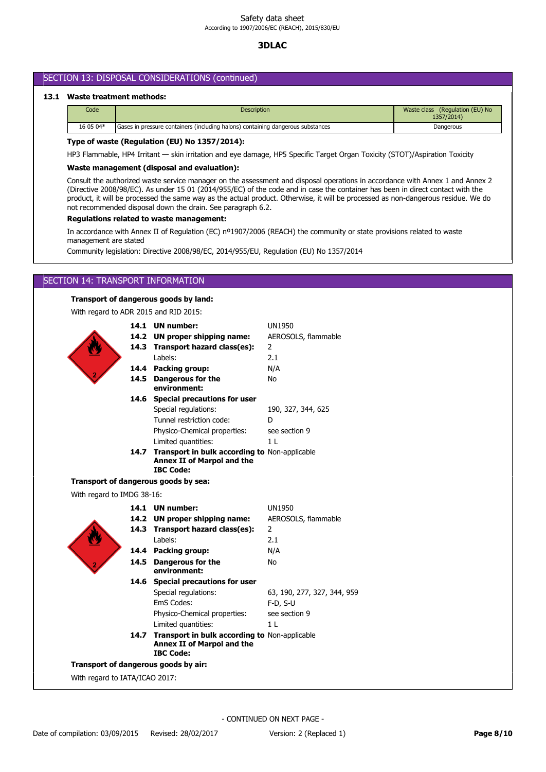# SECTION 13: DISPOSAL CONSIDERATIONS (continued)

## **13.1 Waste treatment methods:**

| Code      | <b>Description</b>                                                                           | Waste class (Regulation (EU) No<br>1357/2014) |  |
|-----------|----------------------------------------------------------------------------------------------|-----------------------------------------------|--|
| 16 05 04* | Gases in pressure containers (including halons) containing dangerous substances<br>Dangerous |                                               |  |

## **Type of waste (Regulation (EU) No 1357/2014):**

HP3 Flammable, HP4 Irritant — skin irritation and eye damage, HP5 Specific Target Organ Toxicity (STOT)/Aspiration Toxicity

## **Waste management (disposal and evaluation):**

Consult the authorized waste service manager on the assessment and disposal operations in accordance with Annex 1 and Annex 2 (Directive 2008/98/EC). As under 15 01 (2014/955/EC) of the code and in case the container has been in direct contact with the product, it will be processed the same way as the actual product. Otherwise, it will be processed as non-dangerous residue. We do not recommended disposal down the drain. See paragraph 6.2.

## **Regulations related to waste management:**

In accordance with Annex II of Regulation (EC) nº1907/2006 (REACH) the community or state provisions related to waste management are stated

Community legislation: Directive 2008/98/EC, 2014/955/EU, Regulation (EU) No 1357/2014

## SECTION 14: TRANSPORT INFORMATION

#### **Transport of dangerous goods by land:**

With regard to ADR 2015 and RID 2015:



With regard to IATA/ICAO 2017: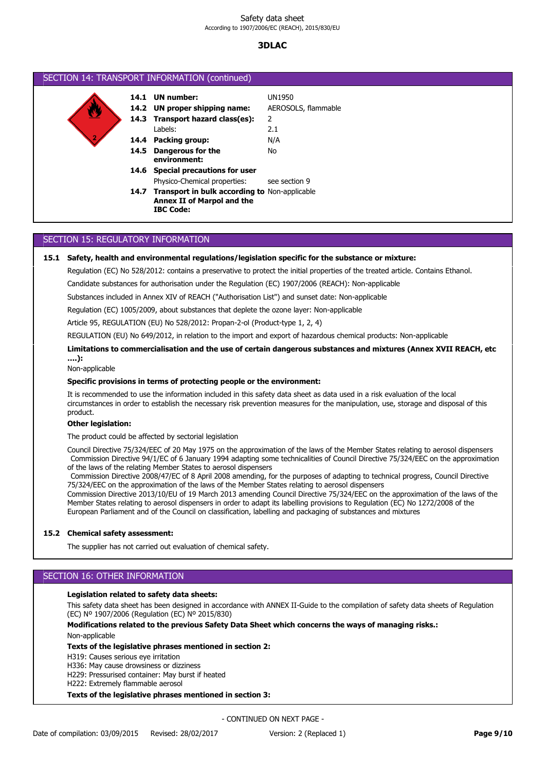| SECTION 14: TRANSPORT INFORMATION (continued) |      |                                                                                                      |                     |  |
|-----------------------------------------------|------|------------------------------------------------------------------------------------------------------|---------------------|--|
|                                               |      | 14.1 UN number:                                                                                      | <b>UN1950</b>       |  |
|                                               |      | 14.2 UN proper shipping name:                                                                        | AEROSOLS, flammable |  |
|                                               |      | 14.3 Transport hazard class(es):                                                                     | 2                   |  |
|                                               |      | Labels:                                                                                              | 2.1                 |  |
|                                               |      | 14.4 Packing group:                                                                                  | N/A                 |  |
|                                               | 14.5 | Dangerous for the<br>environment:                                                                    | No                  |  |
|                                               | 14.6 | <b>Special precautions for user</b>                                                                  |                     |  |
|                                               |      | Physico-Chemical properties:                                                                         | see section 9       |  |
|                                               |      | 14.7 Transport in bulk according to Non-applicable<br>Annex II of Marpol and the<br><b>IBC Code:</b> |                     |  |

# SECTION 15: REGULATORY INFORMATION

### **15.1 Safety, health and environmental regulations/legislation specific for the substance or mixture:**

Regulation (EC) No 528/2012: contains a preservative to protect the initial properties of the treated article. Contains Ethanol.

Candidate substances for authorisation under the Regulation (EC) 1907/2006 (REACH): Non-applicable

Substances included in Annex XIV of REACH ("Authorisation List") and sunset date: Non-applicable

Regulation (EC) 1005/2009, about substances that deplete the ozone layer: Non-applicable

Article 95, REGULATION (EU) No 528/2012: Propan-2-ol (Product-type 1, 2, 4)

REGULATION (EU) No 649/2012, in relation to the import and export of hazardous chemical products: Non-applicable

#### **Limitations to commercialisation and the use of certain dangerous substances and mixtures (Annex XVII REACH, etc ….):**

Non-applicable

#### **Specific provisions in terms of protecting people or the environment:**

It is recommended to use the information included in this safety data sheet as data used in a risk evaluation of the local circumstances in order to establish the necessary risk prevention measures for the manipulation, use, storage and disposal of this product.

#### **Other legislation:**

The product could be affected by sectorial legislation

Council Directive 75/324/EEC of 20 May 1975 on the approximation of the laws of the Member States relating to aerosol dispensers Commission Directive 94/1/EC of 6 January 1994 adapting some technicalities of Council Directive 75/324/EEC on the approximation of the laws of the relating Member States to aerosol dispensers

Commission Directive 2008/47/EC of 8 April 2008 amending, for the purposes of adapting to technical progress, Council Directive 75/324/EEC on the approximation of the laws of the Member States relating to aerosol dispensers

Commission Directive 2013/10/EU of 19 March 2013 amending Council Directive 75/324/EEC on the approximation of the laws of the Member States relating to aerosol dispensers in order to adapt its labelling provisions to Regulation (EC) No 1272/2008 of the European Parliament and of the Council on classification, labelling and packaging of substances and mixtures

#### **15.2 Chemical safety assessment:**

The supplier has not carried out evaluation of chemical safety.

## SECTION 16: OTHER INFORMATION

### **Legislation related to safety data sheets:**

This safety data sheet has been designed in accordance with ANNEX II-Guide to the compilation of safety data sheets of Regulation (EC) Nº 1907/2006 (Regulation (EC) Nº 2015/830)

# **Modifications related to the previous Safety Data Sheet which concerns the ways of managing risks.:**

Non-applicable

# **Texts of the legislative phrases mentioned in section 2:**

H319: Causes serious eye irritation

H336: May cause drowsiness or dizziness

H229: Pressurised container: May burst if heated

H222: Extremely flammable aerosol

#### **Texts of the legislative phrases mentioned in section 3:**